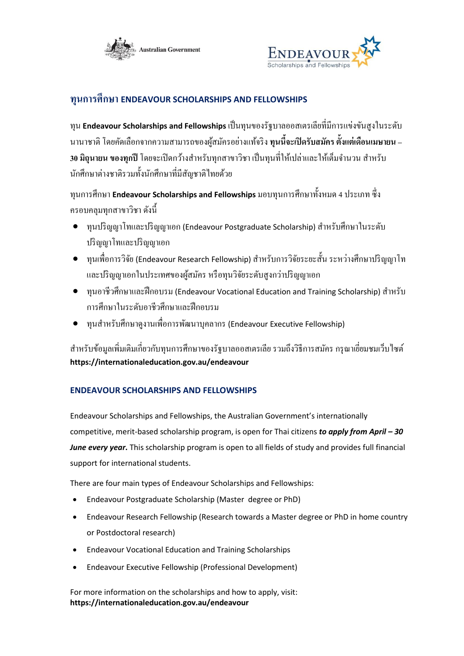



## **ทุนการศึกษา ENDEAVOUR SCHOLARSHIPS AND FELLOWSHIPS**

ทุน **Endeavour Scholarships and Fellowships** เป็นทุนของรัฐบาลออสเตรเลียที่มีการแข่งขันสูงในระดับ นานาชาติโดยคดัเลือกจากความสามารถของผสู้ มคัรอยา่ งแทจ้ริง **ทุนนีจ้ะเปิดรับสมคัร ตั้งแต่เดือนเมษายน –** ี **30 มิถนายน ของทุกปี** โดยจะเปิดกว้างสำหรับทุกสาขาวิชา เป็นทุนที่ให้เปล่าและให้เต็มจำนวน สำหรับ ้ นักศึกษาต่างชาติรวมทั้งนักศึกษาที่มีสัญชาติไทยด้วย

ทุนการศึกษา **Endeavour Scholarships and Fellowships** มอบทุนการศึกษาท้งัหมด 4 ประเภท ซึ่ง ครอบคลุมทุกสาขาวิชา ดงัน้ี

- $\bullet$  ทุนปริญญาโทและปริญญาเอก (Endeavour Postgraduate Scholarship) สำหรับศึกษาในระดับ ปริญญาโทและปริญญาเอก
- $\bullet$  ทุนเพื่อการวิจัย (Endeavour Research Fellowship) สำหรับการวิจัยระยะสั้น ระหว่างศึกษาปริญญาโท และปริญญาเอกในประเทศของผู้สมัคร หรือทุนวิจัยระดับสูงกว่าปริญญาเอก
- ทุนอาชีวศึกษาและฝึ กอบรม (Endeavour Vocational Education and Training Scholarship) ส าหรับ การศึกษาในระดับอาชีวศึกษาและฝึ กอบรม
- ทุนส าหรับศึกษาดูงานเพื่อการพัฒนาบุคลากร (Endeavour Executive Fellowship)

ี สำหรับข้อมูลเพิ่มเติมเกี่ยวกับทุนการศึกษาของรัฐบาลออสเตรเลีย รวมถึงวิธีการสมัคร กรุณาเยี่ยมชมเว็บไซต์ **https://internationaleducation.gov.au/endeavour**

## **ENDEAVOUR SCHOLARSHIPS AND FELLOWSHIPS**

Endeavour Scholarships and Fellowships, the Australian Government's internationally competitive, merit-based scholarship program, is open for Thai citizens *to apply from April – 30 June every year***.** This scholarship program is open to all fields of study and provides full financial support for international students.

There are four main types of Endeavour Scholarships and Fellowships:

- Endeavour Postgraduate Scholarship (Master degree or PhD)
- Endeavour Research Fellowship (Research towards a Master degree or PhD in home country or Postdoctoral research)
- Endeavour Vocational Education and Training Scholarships
- Endeavour Executive Fellowship (Professional Development)

For more information on the scholarships and how to apply, visit: **https://internationaleducation.gov.au/endeavour**